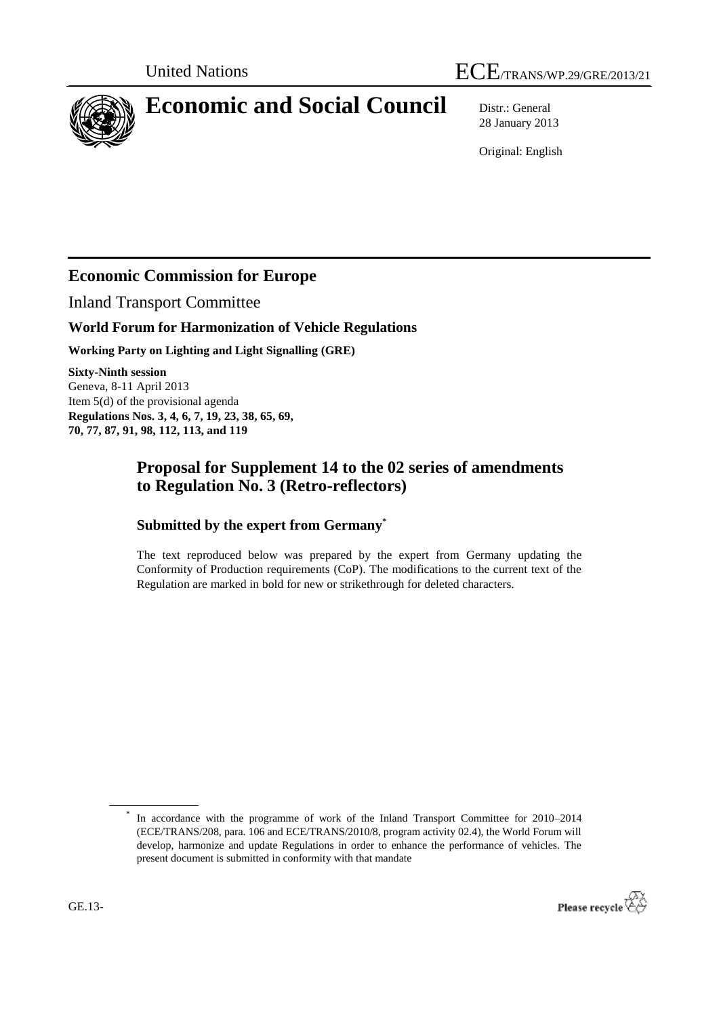

# **Economic and Social Council** Distr.: General

28 January 2013

Original: English

## **Economic Commission for Europe**

Inland Transport Committee

#### **World Forum for Harmonization of Vehicle Regulations**

**Working Party on Lighting and Light Signalling (GRE)**

**Sixty-Ninth session** Geneva, 8-11 April 2013 Item 5(d) of the provisional agenda **Regulations Nos. 3, 4, 6, 7, 19, 23, 38, 65, 69, 70, 77, 87, 91, 98, 112, 113, and 119**

### **Proposal for Supplement 14 to the 02 series of amendments to Regulation No. 3 (Retro-reflectors)**

#### **Submitted by the expert from Germany\***

The text reproduced below was prepared by the expert from Germany updating the Conformity of Production requirements (CoP). The modifications to the current text of the Regulation are marked in bold for new or strikethrough for deleted characters.

<sup>\*</sup> In accordance with the programme of work of the Inland Transport Committee for 2010–2014 (ECE/TRANS/208, para. 106 and ECE/TRANS/2010/8, program activity 02.4), the World Forum will develop, harmonize and update Regulations in order to enhance the performance of vehicles. The present document is submitted in conformity with that mandate

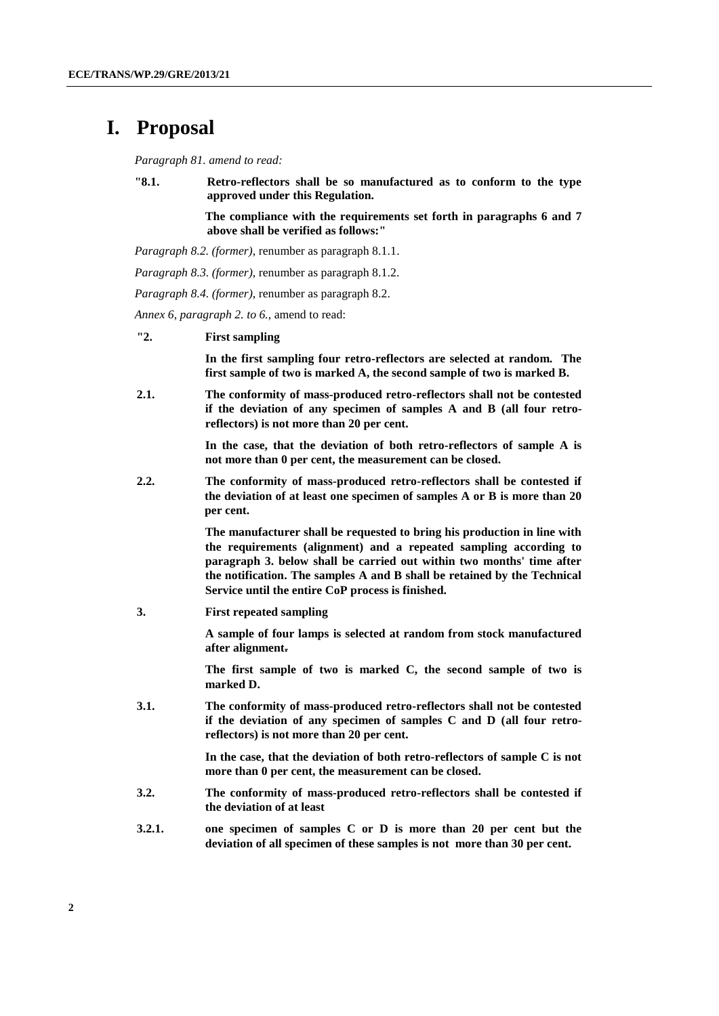# **I. Proposal**

*Paragraph 81. amend to read:*

**"8.1. Retro-reflectors shall be so manufactured as to conform to the type approved under this Regulation.** 

> **The compliance with the requirements set forth in paragraphs 6 and 7 above shall be verified as follows:"**

*Paragraph 8.2. (former)*, renumber as paragraph 8.1.1.

*Paragraph 8.3. (former)*, renumber as paragraph 8.1.2.

*Paragraph 8.4. (former)*, renumber as paragraph 8.2.

*Annex 6, paragraph 2. to 6.*, amend to read:

**"2. First sampling** 

**In the first sampling four retro-reflectors are selected at random. The first sample of two is marked A, the second sample of two is marked B.**

**2.1. The conformity of mass-produced retro-reflectors shall not be contested if the deviation of any specimen of samples A and B (all four retroreflectors) is not more than 20 per cent.**

> **In the case, that the deviation of both retro-reflectors of sample A is not more than 0 per cent, the measurement can be closed.**

**2.2. The conformity of mass-produced retro-reflectors shall be contested if the deviation of at least one specimen of samples A or B is more than 20 per cent.**

> **The manufacturer shall be requested to bring his production in line with the requirements (alignment) and a repeated sampling according to paragraph 3. below shall be carried out within two months' time after the notification. The samples A and B shall be retained by the Technical Service until the entire CoP process is finished.**

**3. First repeated sampling**

**A sample of four lamps is selected at random from stock manufactured after alignment.**

**The first sample of two is marked C, the second sample of two is marked D.**

**3.1. The conformity of mass-produced retro-reflectors shall not be contested if the deviation of any specimen of samples C and D (all four retroreflectors) is not more than 20 per cent.**

> **In the case, that the deviation of both retro-reflectors of sample C is not more than 0 per cent, the measurement can be closed.**

- **3.2. The conformity of mass-produced retro-reflectors shall be contested if the deviation of at least**
- **3.2.1. one specimen of samples C or D is more than 20 per cent but the deviation of all specimen of these samples is not more than 30 per cent.**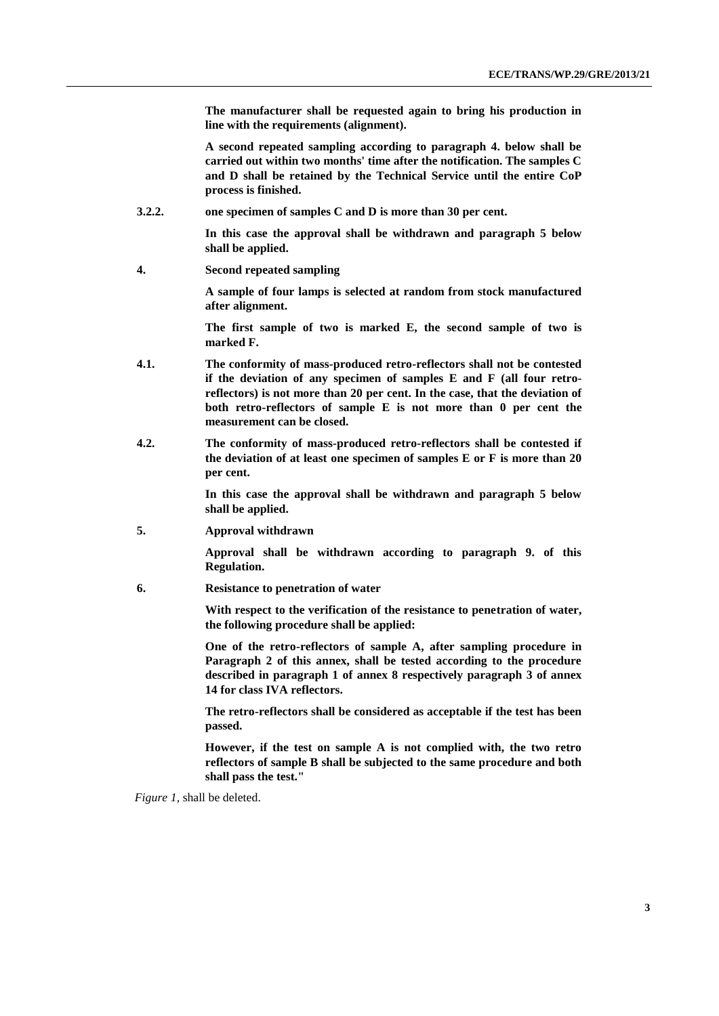**The manufacturer shall be requested again to bring his production in line with the requirements (alignment).** 

**A second repeated sampling according to paragraph 4. below shall be carried out within two months' time after the notification. The samples C and D shall be retained by the Technical Service until the entire CoP process is finished.**

**3.2.2. one specimen of samples C and D is more than 30 per cent.** 

**In this case the approval shall be withdrawn and paragraph 5 below shall be applied.**

**4. Second repeated sampling**

**A sample of four lamps is selected at random from stock manufactured after alignment.** 

**The first sample of two is marked E, the second sample of two is marked F.**

- **4.1. The conformity of mass-produced retro-reflectors shall not be contested if the deviation of any specimen of samples E and F (all four retroreflectors) is not more than 20 per cent. In the case, that the deviation of both retro-reflectors of sample E is not more than 0 per cent the measurement can be closed.**
- **4.2. The conformity of mass-produced retro-reflectors shall be contested if the deviation of at least one specimen of samples E or F is more than 20 per cent.**

**In this case the approval shall be withdrawn and paragraph 5 below shall be applied.** 

**5. Approval withdrawn**

**Approval shall be withdrawn according to paragraph 9. of this Regulation.**

**6. Resistance to penetration of water**

**With respect to the verification of the resistance to penetration of water, the following procedure shall be applied:**

**One of the retro-reflectors of sample A, after sampling procedure in Paragraph 2 of this annex, shall be tested according to the procedure described in paragraph 1 of annex 8 respectively paragraph 3 of annex 14 for class IVA reflectors.**

**The retro-reflectors shall be considered as acceptable if the test has been passed.**

**However, if the test on sample A is not complied with, the two retro reflectors of sample B shall be subjected to the same procedure and both shall pass the test."**

*Figure 1,* shall be deleted.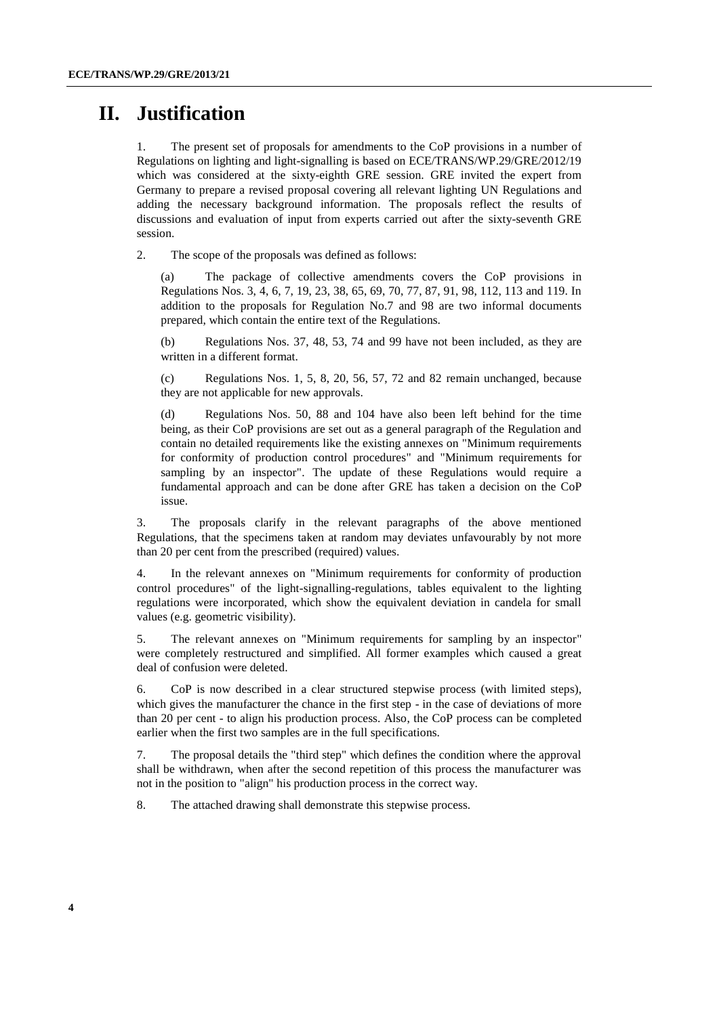# **II. Justification**

1. The present set of proposals for amendments to the CoP provisions in a number of Regulations on lighting and light-signalling is based on ECE/TRANS/WP.29/GRE/2012/19 which was considered at the sixty-eighth GRE session. GRE invited the expert from Germany to prepare a revised proposal covering all relevant lighting UN Regulations and adding the necessary background information. The proposals reflect the results of discussions and evaluation of input from experts carried out after the sixty-seventh GRE session.

2. The scope of the proposals was defined as follows:

(a) The package of collective amendments covers the CoP provisions in Regulations Nos. 3, 4, 6, 7, 19, 23, 38, 65, 69, 70, 77, 87, 91, 98, 112, 113 and 119. In addition to the proposals for Regulation No.7 and 98 are two informal documents prepared, which contain the entire text of the Regulations.

(b) Regulations Nos. 37, 48, 53, 74 and 99 have not been included, as they are written in a different format.

(c) Regulations Nos. 1, 5, 8, 20, 56, 57, 72 and 82 remain unchanged, because they are not applicable for new approvals.

(d) Regulations Nos. 50, 88 and 104 have also been left behind for the time being, as their CoP provisions are set out as a general paragraph of the Regulation and contain no detailed requirements like the existing annexes on "Minimum requirements for conformity of production control procedures" and "Minimum requirements for sampling by an inspector". The update of these Regulations would require a fundamental approach and can be done after GRE has taken a decision on the CoP issue.

3. The proposals clarify in the relevant paragraphs of the above mentioned Regulations, that the specimens taken at random may deviates unfavourably by not more than 20 per cent from the prescribed (required) values.

4. In the relevant annexes on "Minimum requirements for conformity of production control procedures" of the light-signalling-regulations, tables equivalent to the lighting regulations were incorporated, which show the equivalent deviation in candela for small values (e.g. geometric visibility).

5. The relevant annexes on "Minimum requirements for sampling by an inspector" were completely restructured and simplified. All former examples which caused a great deal of confusion were deleted.

6. CoP is now described in a clear structured stepwise process (with limited steps), which gives the manufacturer the chance in the first step - in the case of deviations of more than 20 per cent - to align his production process. Also, the CoP process can be completed earlier when the first two samples are in the full specifications.

7. The proposal details the "third step" which defines the condition where the approval shall be withdrawn, when after the second repetition of this process the manufacturer was not in the position to "align" his production process in the correct way.

8. The attached drawing shall demonstrate this stepwise process.